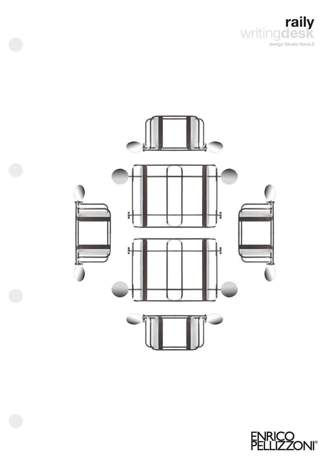



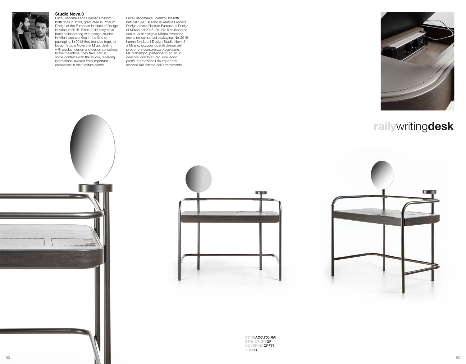

#### **Studio Nove.3** Luca Giacomelli and Lorenzo Rossotti

both born in 1993, graduated in Product Design at the European Institute of Design in Milan in 2015. Since 2015 they have been collaborating with design studios in Milan also working in the field of packaging. In 2018 they founded together Design Studio Nove.3 in Milan, dealing with product design and design consulting. In the meantime, they take part in some contests with the studio, receiving international awards from important companies in the furniture sector.

Luca Giacomelli e Lorenzo Rossotti, nati nel 1993, si sono laureati in Product Design presso l'Istituto Europeo di Design di Milano nel 2015. Dal 2015 collaborano con studi di design a Milano lavorando anche nel campo del packaging. Nel 2018 hanno fondato il Design Studio Nove.3 a Milano, occupandosi di design del prodotto e consulenza progettuale. Nel frattempo, partecipano ad alcuni concorsi con lo studio, ricevendo premi internazionali da importanti aziende del settore dell'arredamento.



# **raily**writing**desk**



**CODEACC.700.RAI COVERINGCPF77**





**STRUCTUREGF TOPFG**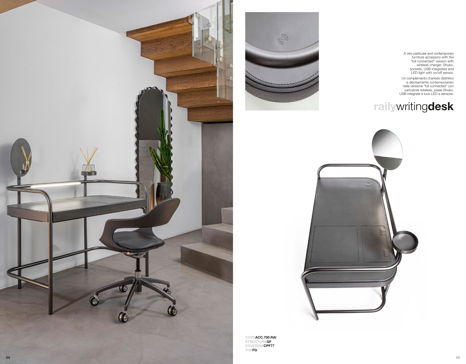





Un complemento d'arredo distintivo e decisamente contemporaneo nella versione "full connected" con caricatore wireless, prese Shuko, USB integrate e luce LED a sensore.

# **raily**writing**desk**



**CODEACC.700.RAI STRUCTUREGF COVERINGCPF77 TOPFG**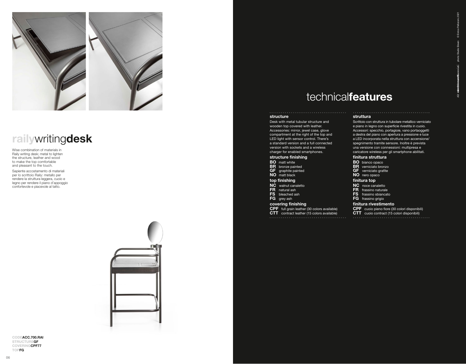

# **raily**writing**desk**

Wise combination of materials in Raily writing desk; metal to lighten the structure, leather and wood to make the top comfortable and pleasant to the touch.

Sapiente accostamento di materiali per lo scrittoio Raily: metallo per rendere la struttura leggera, cuoio e legno per rendere il piano d'appoggio confortevole e piacevole al tatto.



#### **CODEACC.700.RAI STRUCTUREGF COVERINGCPF77 TOPFG**

# technical**features**

### **structure**

Desk with metal tubular structure and wooden top covered with leather. Accessories: mirror, jewel case, glove compartment at the right of the top and LED light with sensor control. There's a standard version and a full connected version with sockets and a wireless charger for enabled smartphones.

#### **structure finishing**

- **BO** matt white **BR** bronze painted
- **GF** graphite painted

#### **NO** matt black **top finishing**

- **NC** walnut canaletto
- **FR** natural ash
- **FS** bleached ash
- **FG** grey ash

### **covering finishing**

**CPF** full grain leather (30 colors available) **CTT** contract leather (15 colors available)

# **struttura**

Scrittoio con struttura in tubolare metallico verniciato e piano in legno con superficie rivestita in cuoio. Accessori: specchio, portagioie, vano portaoggetti a destra del piano con apertura a pressione e luce a LED incorporata nella struttura con accensione/ spegnimento tramite sensore. Inoltre è prevista una versione con connessioni: multipresa e caricatore wireless per gli smartphone abilitati.

© Enrico Pellizzoni, 2021

© Enr mewa

photo: Studio Eleven

.<br>a

### **finitura struttura**

- **BO** bianco opaco
- **BR** verniciato bronzo **GF** verniciato grafite
- **NO** nero opaco

## **finitura top**

- **NC** noce canaletto
- **FR** frassino naturale
- **FS** frassino sbiancato
- **FG** frassino grigio

### **finitura rivestimento**

- **CPF** cuoio pieno fiore (30 colori disponibili)
- **CTT** cuoio contract (15 colori disponibili)